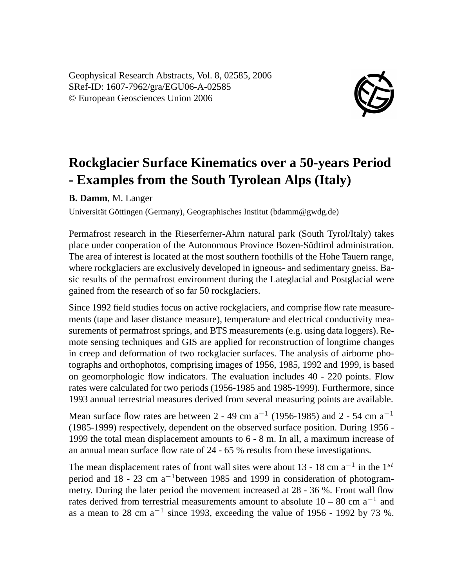Geophysical Research Abstracts, Vol. 8, 02585, 2006 SRef-ID: 1607-7962/gra/EGU06-A-02585 © European Geosciences Union 2006



## **Rockglacier Surface Kinematics over a 50-years Period - Examples from the South Tyrolean Alps (Italy)**

**B. Damm**, M. Langer

Universität Göttingen (Germany), Geographisches Institut (bdamm@gwdg.de)

Permafrost research in the Rieserferner-Ahrn natural park (South Tyrol/Italy) takes place under cooperation of the Autonomous Province Bozen-Südtirol administration. The area of interest is located at the most southern foothills of the Hohe Tauern range, where rockglaciers are exclusively developed in igneous- and sedimentary gneiss. Basic results of the permafrost environment during the Lateglacial and Postglacial were gained from the research of so far 50 rockglaciers.

Since 1992 field studies focus on active rockglaciers, and comprise flow rate measurements (tape and laser distance measure), temperature and electrical conductivity measurements of permafrost springs, and BTS measurements (e.g. using data loggers). Remote sensing techniques and GIS are applied for reconstruction of longtime changes in creep and deformation of two rockglacier surfaces. The analysis of airborne photographs and orthophotos, comprising images of 1956, 1985, 1992 and 1999, is based on geomorphologic flow indicators. The evaluation includes 40 - 220 points. Flow rates were calculated for two periods (1956-1985 and 1985-1999). Furthermore, since 1993 annual terrestrial measures derived from several measuring points are available.

Mean surface flow rates are between 2 - 49 cm  $a^{-1}$  (1956-1985) and 2 - 54 cm  $a^{-1}$ (1985-1999) respectively, dependent on the observed surface position. During 1956 - 1999 the total mean displacement amounts to 6 - 8 m. In all, a maximum increase of an annual mean surface flow rate of 24 - 65 % results from these investigations.

The mean displacement rates of front wall sites were about 13 - 18 cm  $a^{-1}$  in the 1<sup>st</sup> period and 18 - 23 cm a<sup>−</sup><sup>1</sup>between 1985 and 1999 in consideration of photogrammetry. During the later period the movement increased at 28 - 36 %. Front wall flow rates derived from terrestrial measurements amount to absolute  $10 - 80$  cm  $a^{-1}$  and as a mean to 28 cm  $a^{-1}$  since 1993, exceeding the value of 1956 - 1992 by 73 %.